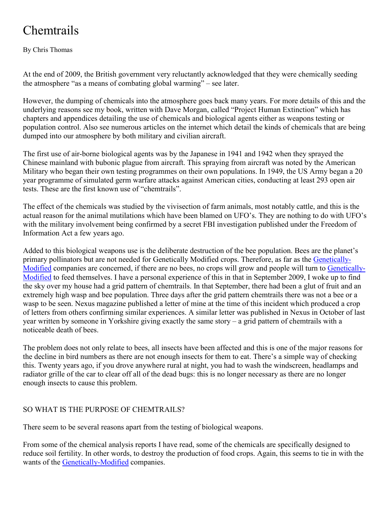## **Chemtrails**

By Chris Thomas

At the end of 2009, the British government very reluctantly acknowledged that they were chemically seeding the atmosphere "as a means of combating global warming" – see later.

However, the dumping of chemicals into the atmosphere goes back many years. For more details of this and the underlying reasons see my book, written with Dave Morgan, called "Project Human Extinction" which has chapters and appendices detailing the use of chemicals and biological agents either as weapons testing or population control. Also see numerous articles on the internet which detail the kinds of chemicals that are being dumped into our atmosphere by both military and civilian aircraft.

The first use of air-borne biological agents was by the Japanese in 1941 and 1942 when they sprayed the Chinese mainland with bubonic plague from aircraft. This spraying from aircraft was noted by the American Military who began their own testing programmes on their own populations. In 1949, the US Army began a 20 year programme of simulated germ warfare attacks against American cities, conducting at least 293 open air tests. These are the first known use of "chemtrails".

The effect of the chemicals was studied by the vivisection of farm animals, most notably cattle, and this is the actual reason for the animal mutilations which have been blamed on UFO's. They are nothing to do with UFO's with the military involvement being confirmed by a secret FBI investigation published under the Freedom of Information Act a few years ago.

Added to this biological weapons use is the deliberate destruction of the bee population. Bees are the planet's primary pollinators but are not needed for Genetically Modified crops. Therefore, as far as the [Genetica](https://www.curezone.org/abbreviations.asp)lly-[Modif](https://www.curezone.org/abbreviations.asp)ied companies are concerned, if there are no bees, no crops will grow and people will turn to [Genetica](https://www.curezone.org/abbreviations.asp)lly-[Modif](https://www.curezone.org/abbreviations.asp)ied to feed themselves. I have a personal experience of this in that in September 2009, I woke up to find the sky over my house had a grid pattern of chemtrails. In that September, there had been a glut of fruit and an extremely high wasp and bee population. Three days after the grid pattern chemtrails there was not a bee or a wasp to be seen. Nexus magazine published a letter of mine at the time of this incident which produced a crop of letters from others confirming similar experiences. A similar letter was published in Nexus in October of last year written by someone in Yorkshire giving exactly the same story – a grid pattern of chemtrails with a noticeable death of bees.

The problem does not only relate to bees, all insects have been affected and this is one of the major reasons for the decline in bird numbers as there are not enough insects for them to eat. There's a simple way of checking this. Twenty years ago, if you drove anywhere rural at night, you had to wash the windscreen, headlamps and radiator grille of the car to clear off all of the dead bugs: this is no longer necessary as there are no longer enough insects to cause this problem.

## SO WHAT IS THE PURPOSE OF CHEMTRAILS?

There seem to be several reasons apart from the testing of biological weapons.

From some of the chemical analysis reports I have read, some of the chemicals are specifically designed to reduce soil fertility. In other words, to destroy the production of food crops. Again, this seems to tie in with the wants of the [Genetically-M](https://www.curezone.org/abbreviations.asp)odified companies.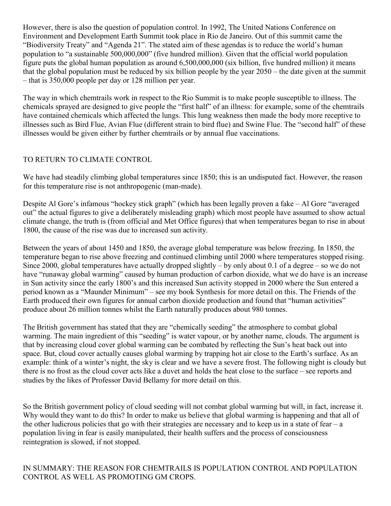However, there is also the question of population control. In 1992, The United Nations Conference on Environment and Development Earth Summit took place in Rio de Janeiro. Out of this summit came the "Biodiversity Treaty" and "Agenda 21". The stated aim of these agendas is to reduce the world's human population to "a sustainable 500,000,000" (five hundred million). Given that the official world population figure puts the global human population as around 6,500,000,000 (six billion, five hundred million) it means that the global population must be reduced by six billion people by the year 2050 – the date given at the summit – that is 350,000 people per day or 128 million per year.

The way in which chemtrails work in respect to the Rio Summit is to make people susceptible to illness. The chemicals sprayed are designed to give people the "first half" of an illness: for example, some of the chemtrails have contained chemicals which affected the lungs. This lung weakness then made the body more receptive to illnesses such as Bird Flue, Avian Flue (different strain to bird flue) and Swine Flue. The "second half" of these illnesses would be given either by further chemtrails or by annual flue vaccinations.

## TO RETURN TO CLIMATE CONTROL

We have had steadily climbing global temperatures since 1850; this is an undisputed fact. However, the reason for this temperature rise is not anthropogenic (man-made).

Despite Al Gore's infamous "hockey stick graph" (which has been legally proven a fake – Al Gore "averaged out" the actual figures to give a deliberately misleading graph) which most people have assumed to show actual climate change, the truth is (from official and Met Office figures) that when temperatures began to rise in about 1800, the cause of the rise was due to increased sun activity.

Between the years of about 1450 and 1850, the average global temperature was below freezing. In 1850, the temperature began to rise above freezing and continued climbing until 2000 where temperatures stopped rising. Since 2000, global temperatures have actually dropped slightly – by only about 0.1 of a degree – so we do not have "runaway global warming" caused by human production of carbon dioxide, what we do have is an increase in Sun activity since the early 1800's and this increased Sun activity stopped in 2000 where the Sun entered a period known as a "Maunder Minimum" – see my book Synthesis for more detail on this. The Friends of the Earth produced their own figures for annual carbon dioxide production and found that "human activities" produce about 26 million tonnes whilst the Earth naturally produces about 980 tonnes.

The British government has stated that they are "chemically seeding" the atmosphere to combat global warming. The main ingredient of this "seeding" is water vapour, or by another name, clouds. The argument is that by increasing cloud cover global warming can be combated by reflecting the Sun's heat back out into space. But, cloud cover actually causes global warming by trapping hot air close to the Earth's surface. As an example: think of a winter's night, the sky is clear and we have a severe frost. The following night is cloudy but there is no frost as the cloud cover acts like a duvet and holds the heat close to the surface – see reports and studies by the likes of Professor David Bellamy for more detail on this.

So the British government policy of cloud seeding will not combat global warming but will, in fact, increase it. Why would they want to do this? In order to make us believe that global warming is happening and that all of the other ludicrous policies that go with their strategies are necessary and to keep us in a state of fear  $-a$ population living in fear is easily manipulated, their health suffers and the process of consciousness reintegration is slowed, if not stopped.

IN SUMMARY: THE REASON FOR CHEMTRAILS IS POPULATION CONTROL AND POPULATION CONTROL AS WELL AS PROMOTING GM CROPS.